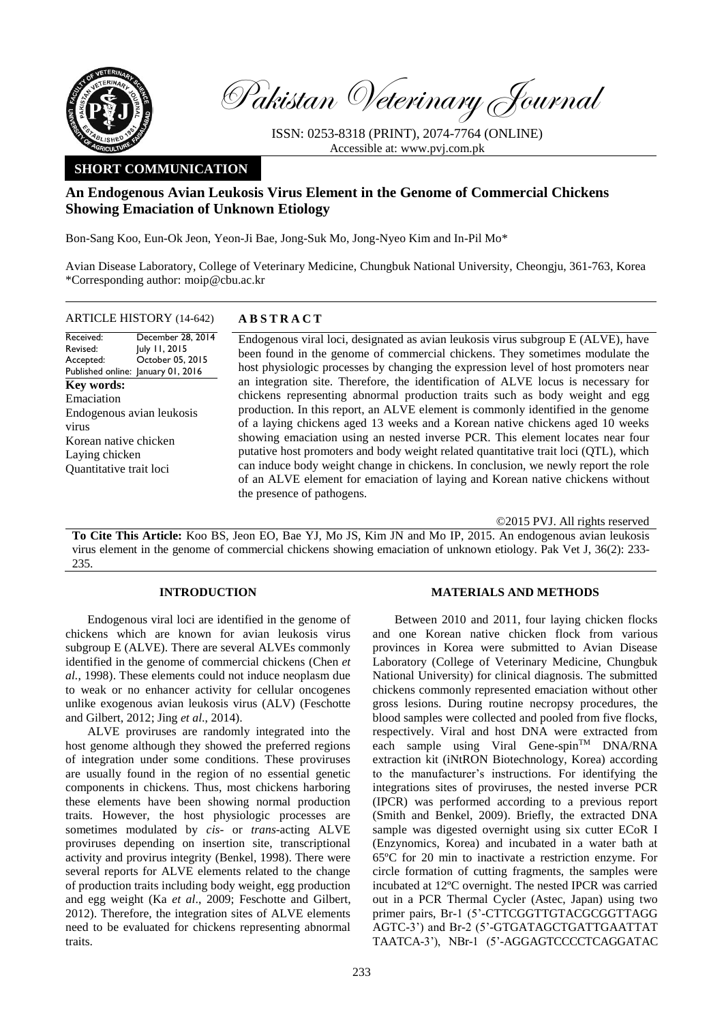

Pakistan Veterinary Journal

ISSN: 0253-8318 (PRINT), 2074-7764 (ONLINE) Accessible at: [www.pvj.com.pk](http://www.pvj.com.pk/)

## **SHORT COMMUNICATION**

# **An Endogenous Avian Leukosis Virus Element in the Genome of Commercial Chickens Showing Emaciation of Unknown Etiology**

Bon-Sang Koo, Eun-Ok Jeon, Yeon-Ji Bae, Jong-Suk Mo, Jong-Nyeo Kim and In-Pil Mo\*

Avian Disease Laboratory, College of Veterinary Medicine, Chungbuk National University, Cheongju, 361-763, Korea \*Corresponding author: moip@cbu.ac.kr

#### ARTICLE HISTORY (14-642) **A B S T R A C T**

Received: Revised: Accepted: Published online: January 01, 2016 December 28, 2014 July 11, 2015 October 05, 2015 **Key words:**  Emaciation Endogenous avian leukosis virus Korean native chicken Laying chicken Quantitative trait loci

Endogenous viral loci, designated as avian leukosis virus subgroup E (ALVE), have been found in the genome of commercial chickens. They sometimes modulate the host physiologic processes by changing the expression level of host promoters near an integration site. Therefore, the identification of ALVE locus is necessary for chickens representing abnormal production traits such as body weight and egg production. In this report, an ALVE element is commonly identified in the genome of a laying chickens aged 13 weeks and a Korean native chickens aged 10 weeks showing emaciation using an nested inverse PCR. This element locates near four putative host promoters and body weight related quantitative trait loci (QTL), which can induce body weight change in chickens. In conclusion, we newly report the role of an ALVE element for emaciation of laying and Korean native chickens without the presence of pathogens.

©2015 PVJ. All rights reserved

**To Cite This Article:** Koo BS, Jeon EO, Bae YJ, Mo JS, Kim JN and Mo IP, 2015. An endogenous avian leukosis virus element in the genome of commercial chickens showing emaciation of unknown etiology. Pak Vet J, 36(2): 233- 235.

## **INTRODUCTION**

Endogenous viral loci are identified in the genome of chickens which are known for avian leukosis virus subgroup E (ALVE). There are several ALVEs commonly identified in the genome of commercial chickens (Chen *et al.*, 1998). These elements could not induce neoplasm due to weak or no enhancer activity for cellular oncogenes unlike exogenous avian leukosis virus (ALV) (Feschotte and Gilbert, 2012; Jing *et al*., 2014).

ALVE proviruses are randomly integrated into the host genome although they showed the preferred regions of integration under some conditions. These proviruses are usually found in the region of no essential genetic components in chickens. Thus, most chickens harboring these elements have been showing normal production traits. However, the host physiologic processes are sometimes modulated by *cis*- or *trans*-acting ALVE proviruses depending on insertion site, transcriptional activity and provirus integrity (Benkel, 1998). There were several reports for ALVE elements related to the change of production traits including body weight, egg production and egg weight (Ka *et al*., 2009; Feschotte and Gilbert, 2012). Therefore, the integration sites of ALVE elements need to be evaluated for chickens representing abnormal traits.

## **MATERIALS AND METHODS**

Between 2010 and 2011, four laying chicken flocks and one Korean native chicken flock from various provinces in Korea were submitted to Avian Disease Laboratory (College of Veterinary Medicine, Chungbuk National University) for clinical diagnosis. The submitted chickens commonly represented emaciation without other gross lesions. During routine necropsy procedures, the blood samples were collected and pooled from five flocks, respectively. Viral and host DNA were extracted from each sample using Viral Gene-spin™ DNA/RNA extraction kit (iNtRON Biotechnology, Korea) according to the manufacturer's instructions. For identifying the integrations sites of proviruses, the nested inverse PCR (IPCR) was performed according to a previous report (Smith and Benkel, 2009). Briefly, the extracted DNA sample was digested overnight using six cutter ECoR Ι (Enzynomics, Korea) and incubated in a water bath at 65ºC for 20 min to inactivate a restriction enzyme. For circle formation of cutting fragments, the samples were incubated at 12ºC overnight. The nested IPCR was carried out in a PCR Thermal Cycler (Astec, Japan) using two primer pairs, Br-1 (5'-CTTCGGTTGTACGCGGTTAGG AGTC-3') and Br-2 (5'-GTGATAGCTGATTGAATTAT TAATCA-3'), NBr-1 (5'-AGGAGTCCCCTCAGGATAC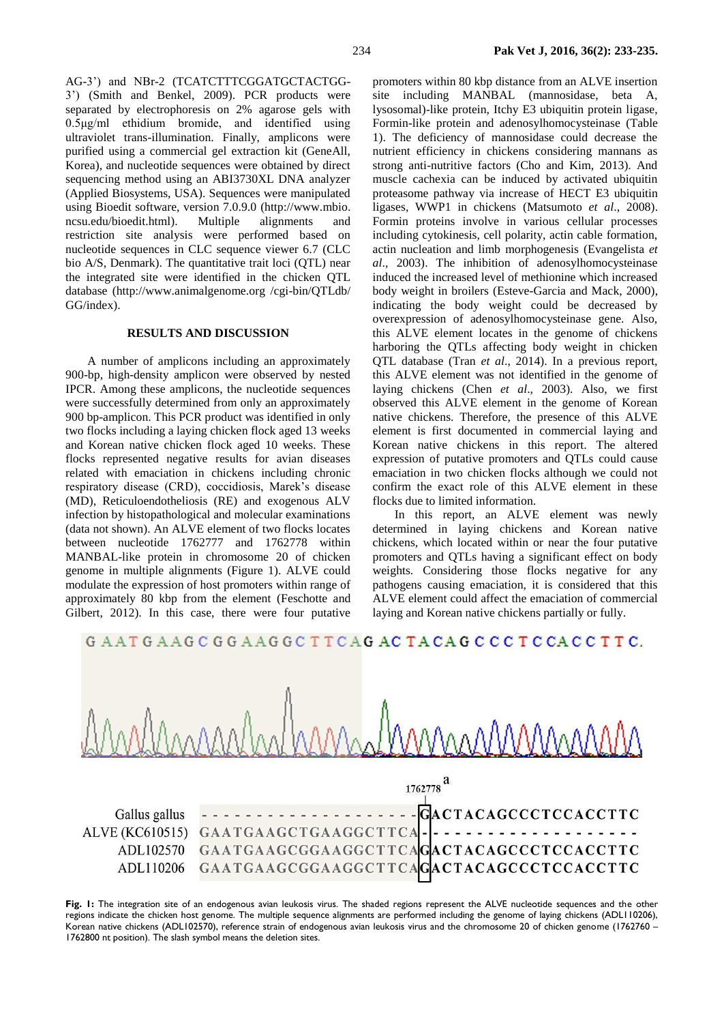AG-3') and NBr-2 (TCATCTTTCGGATGCTACTGG-3') (Smith and Benkel, 2009). PCR products were separated by electrophoresis on 2% agarose gels with 0.5μg/ml ethidium bromide, and identified using ultraviolet trans-illumination. Finally, amplicons were purified using a commercial gel extraction kit (GeneAll, Korea), and nucleotide sequences were obtained by direct sequencing method using an ABI3730XL DNA analyzer (Applied Biosystems, USA). Sequences were manipulated using Bioedit software, version 7.0.9.0 (http://www.mbio. ncsu.edu/bioedit.html). Multiple alignments and restriction site analysis were performed based on nucleotide sequences in CLC sequence viewer 6.7 (CLC bio A/S, Denmark). The quantitative trait loci (QTL) near the integrated site were identified in the chicken QTL database [\(http://www.animalgenome.org](http://www.animalgenome.org/) /cgi-bin/QTLdb/ GG/index).

#### **RESULTS AND DISCUSSION**

A number of amplicons including an approximately 900-bp, high-density amplicon were observed by nested IPCR. Among these amplicons, the nucleotide sequences were successfully determined from only an approximately 900 bp-amplicon. This PCR product was identified in only two flocks including a laying chicken flock aged 13 weeks and Korean native chicken flock aged 10 weeks. These flocks represented negative results for avian diseases related with emaciation in chickens including chronic respiratory disease (CRD), coccidiosis, Marek's disease (MD), Reticuloendotheliosis (RE) and exogenous ALV infection by histopathological and molecular examinations (data not shown). An ALVE element of two flocks locates between nucleotide 1762777 and 1762778 within MANBAL-like protein in chromosome 20 of chicken genome in multiple alignments (Figure 1). ALVE could modulate the expression of host promoters within range of approximately 80 kbp from the element (Feschotte and Gilbert, 2012). In this case, there were four putative

promoters within 80 kbp distance from an ALVE insertion site including MANBAL (mannosidase, beta A, lysosomal)-like protein, Itchy E3 ubiquitin protein ligase, Formin-like protein and adenosylhomocysteinase (Table 1). The deficiency of mannosidase could decrease the nutrient efficiency in chickens considering mannans as strong anti-nutritive factors (Cho and Kim, 2013). And muscle cachexia can be induced by activated ubiquitin proteasome pathway via increase of HECT E3 ubiquitin ligases, WWP1 in chickens (Matsumoto *et al*., 2008). Formin proteins involve in various cellular processes including cytokinesis, cell polarity, actin cable formation, actin nucleation and limb morphogenesis (Evangelista *et al*., 2003). The inhibition of adenosylhomocysteinase induced the increased level of methionine which increased body weight in broilers (Esteve-Garcia and Mack, 2000), indicating the body weight could be decreased by overexpression of adenosylhomocysteinase gene. Also, this ALVE element locates in the genome of chickens harboring the QTLs affecting body weight in chicken QTL database (Tran *et al*., 2014). In a previous report, this ALVE element was not identified in the genome of laying chickens (Chen *et al*., 2003). Also, we first observed this ALVE element in the genome of Korean native chickens. Therefore, the presence of this ALVE element is first documented in commercial laying and Korean native chickens in this report. The altered expression of putative promoters and QTLs could cause emaciation in two chicken flocks although we could not confirm the exact role of this ALVE element in these flocks due to limited information.

In this report, an ALVE element was newly determined in laying chickens and Korean native chickens, which located within or near the four putative promoters and QTLs having a significant effect on body weights. Considering those flocks negative for any pathogens causing emaciation, it is considered that this ALVE element could affect the emaciation of commercial laying and Korean native chickens partially or fully.

GAATGAAGCGGAAGGCTTCAGACTACAGCCCTCCACCTTC.